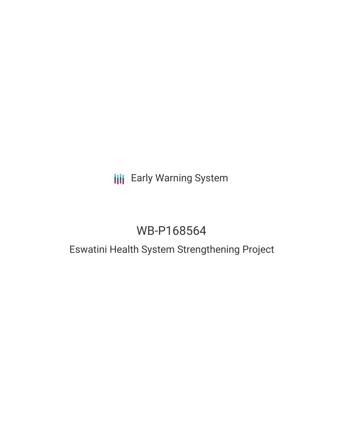## **III** Early Warning System

# WB-P168564

### Eswatini Health System Strengthening Project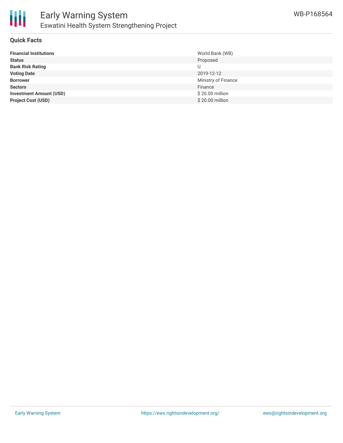

#### **Quick Facts**

| <b>Financial Institutions</b>  | World Bank (WB)     |
|--------------------------------|---------------------|
| <b>Status</b>                  | Proposed            |
| <b>Bank Risk Rating</b>        |                     |
| <b>Voting Date</b>             | 2019-12-12          |
| <b>Borrower</b>                | Ministry of Finance |
| <b>Sectors</b>                 | Finance             |
| <b>Investment Amount (USD)</b> | \$20.00 million     |
| <b>Project Cost (USD)</b>      | \$20.00 million     |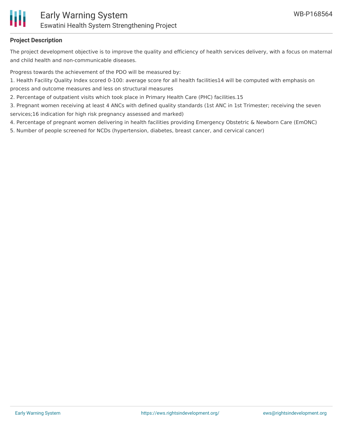

#### **Project Description**

The project development objective is to improve the quality and efficiency of health services delivery, with a focus on maternal and child health and non-communicable diseases.

Progress towards the achievement of the PDO will be measured by:

1. Health Facility Quality Index scored 0-100: average score for all health facilities14 will be computed with emphasis on process and outcome measures and less on structural measures

2. Percentage of outpatient visits which took place in Primary Health Care (PHC) facilities.15

3. Pregnant women receiving at least 4 ANCs with defined quality standards (1st ANC in 1st Trimester; receiving the seven services;16 indication for high risk pregnancy assessed and marked)

4. Percentage of pregnant women delivering in health facilities providing Emergency Obstetric & Newborn Care (EmONC)

5. Number of people screened for NCDs (hypertension, diabetes, breast cancer, and cervical cancer)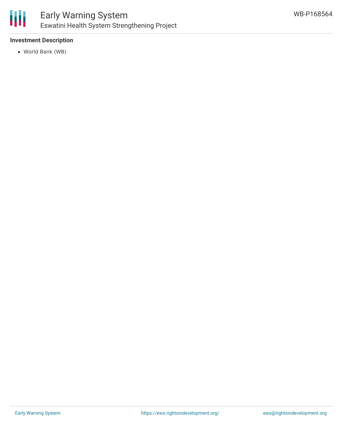

#### **Investment Description**

World Bank (WB)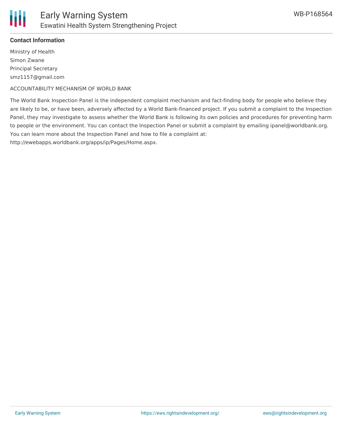

#### **Contact Information**

Ministry of Health Simon Zwane Principal Secretary smz1157@gmail.com

ACCOUNTABILITY MECHANISM OF WORLD BANK

The World Bank Inspection Panel is the independent complaint mechanism and fact-finding body for people who believe they are likely to be, or have been, adversely affected by a World Bank-financed project. If you submit a complaint to the Inspection Panel, they may investigate to assess whether the World Bank is following its own policies and procedures for preventing harm to people or the environment. You can contact the Inspection Panel or submit a complaint by emailing ipanel@worldbank.org. You can learn more about the Inspection Panel and how to file a complaint at: http://ewebapps.worldbank.org/apps/ip/Pages/Home.aspx.